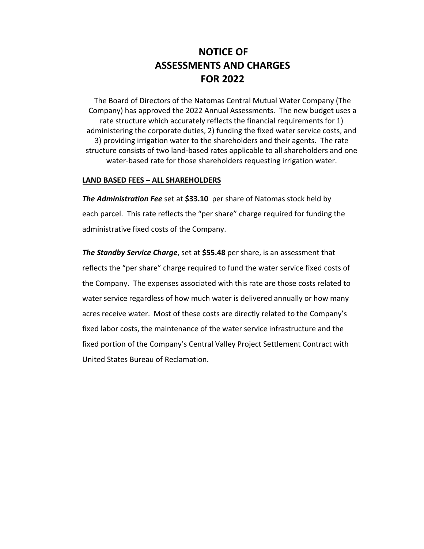# **NOTICE OF ASSESSMENTS AND CHARGES FOR 2022**

The Board of Directors of the Natomas Central Mutual Water Company (The Company) has approved the 2022 Annual Assessments. The new budget uses a rate structure which accurately reflects the financial requirements for 1) administering the corporate duties, 2) funding the fixed water service costs, and 3) providing irrigation water to the shareholders and their agents. The rate structure consists of two land-based rates applicable to all shareholders and one water-based rate for those shareholders requesting irrigation water.

#### **LAND BASED FEES – ALL SHAREHOLDERS**

*The Administration Fee* set at **\$33.10** per share of Natomas stock held by each parcel. This rate reflects the "per share" charge required for funding the administrative fixed costs of the Company.

*The Standby Service Charge*, set at **\$55.48** per share, is an assessment that reflects the "per share" charge required to fund the water service fixed costs of the Company. The expenses associated with this rate are those costs related to water service regardless of how much water is delivered annually or how many acres receive water. Most of these costs are directly related to the Company's fixed labor costs, the maintenance of the water service infrastructure and the fixed portion of the Company's Central Valley Project Settlement Contract with United States Bureau of Reclamation.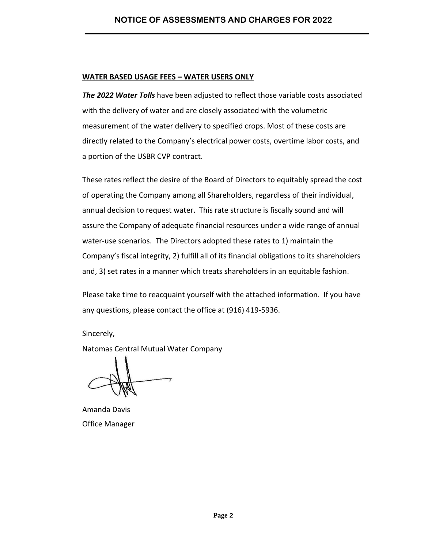#### **WATER BASED USAGE FEES – WATER USERS ONLY**

*The 2022 Water Tolls* have been adjusted to reflect those variable costs associated with the delivery of water and are closely associated with the volumetric measurement of the water delivery to specified crops. Most of these costs are directly related to the Company's electrical power costs, overtime labor costs, and a portion of the USBR CVP contract.

These rates reflect the desire of the Board of Directors to equitably spread the cost of operating the Company among all Shareholders, regardless of their individual, annual decision to request water. This rate structure is fiscally sound and will assure the Company of adequate financial resources under a wide range of annual water-use scenarios. The Directors adopted these rates to 1) maintain the Company's fiscal integrity, 2) fulfill all of its financial obligations to its shareholders and, 3) set rates in a manner which treats shareholders in an equitable fashion.

Please take time to reacquaint yourself with the attached information. If you have any questions, please contact the office at (916) 419-5936.

Sincerely,

Natomas Central Mutual Water Company

Amanda Davis Office Manager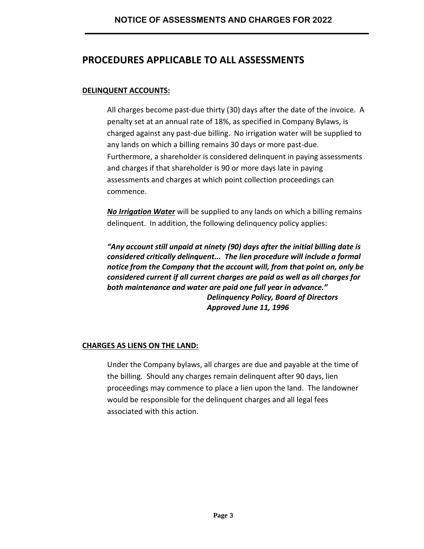## **PROCEDURES APPLICABLE TO ALL ASSESSMENTS**

#### **DELINQUENT ACCOUNTS:**

All charges become past-due thirty (30) days after the date of the invoice. A penalty set at an annual rate of 18%, as specified in Company Bylaws, is charged against any past-due billing. No irrigation water will be supplied to any lands on which a billing remains 30 days or more past-due. Furthermore, a shareholder is considered delinquent in paying assessments and charges if that shareholder is 90 or more days late in paying assessments and charges at which point collection proceedings can commence.

*No Irrigation Water* will be supplied to any lands on which a billing remains delinquent. In addition, the following delinquency policy applies:

*"Any account still unpaid at ninety (90) days after the initial billing date is considered critically delinquent... The lien procedure will include a formal notice from the Company that the account will, from that point on, only be considered current if all current charges are paid as well as all charges for both maintenance and water are paid one full year in advance." Delinquency Policy, Board of Directors Approved June 11, 1996* 

#### **CHARGES AS LIENS ON THE LAND:**

Under the Company bylaws, all charges are due and payable at the time of the billing. Should any charges remain delinquent after 90 days, lien proceedings may commence to place a lien upon the land. The landowner would be responsible for the delinquent charges and all legal fees associated with this action.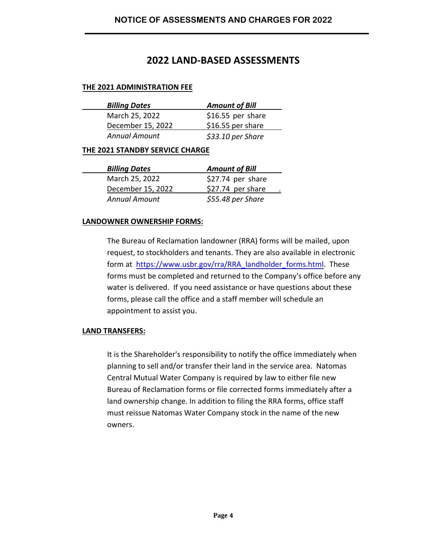## **2022 LAND-BASED ASSESSMENTS**

#### **THE 2021 ADMINISTRATION FEE**

| <b>Billing Dates</b> | <b>Amount of Bill</b> |  |
|----------------------|-----------------------|--|
| March 25, 2022       | \$16.55 per share     |  |
| December 15, 2022    | \$16.55 per share     |  |
| <b>Annual Amount</b> | $$33.10$ per Share    |  |

#### **THE 2021 STANDBY SERVICE CHARGE**

| <b>Billing Dates</b> | <b>Amount of Bill</b> |  |
|----------------------|-----------------------|--|
| March 25, 2022       | \$27.74 per share     |  |
| December 15, 2022    | \$27.74 per share     |  |
| <b>Annual Amount</b> | \$55.48 per Share     |  |

#### **LANDOWNER OWNERSHIP FORMS:**

The Bureau of Reclamation landowner (RRA) forms will be mailed, upon request, to stockholders and tenants. They are also available in electronic form at [https://www.usbr.gov/rra/RRA](https://www.usbr.gov/rra/RRA_landholder_forms.html)\_landholder\_forms.html. These forms must be completed and returned to the Company's office before any water is delivered. If you need assistance or have questions about these forms, please call the office and a staff member will schedule an appointment to assist you.

#### **LAND TRANSFERS:**

It is the Shareholder's responsibility to notify the office immediately when planning to sell and/or transfer their land in the service area. Natomas Central Mutual Water Company is required by law to either file new Bureau of Reclamation forms or file corrected forms immediately after a land ownership change. In addition to filing the RRA forms, office staff must reissue Natomas Water Company stock in the name of the new owners.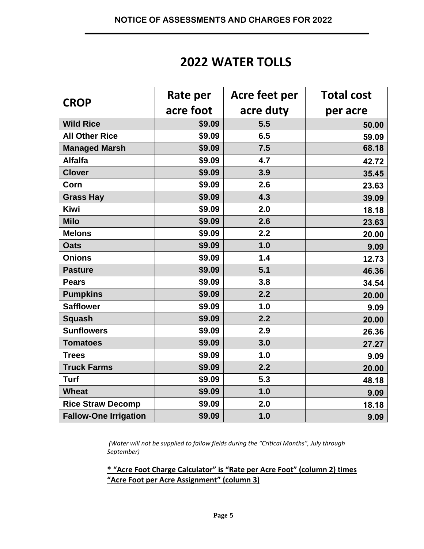# **2022 WATER TOLLS**

| <b>CROP</b>                  | Rate per  | Acre feet per | <b>Total cost</b> |
|------------------------------|-----------|---------------|-------------------|
|                              | acre foot | acre duty     | per acre          |
| <b>Wild Rice</b>             | \$9.09    | 5.5           | 50.00             |
| <b>All Other Rice</b>        | \$9.09    | 6.5           | 59.09             |
| <b>Managed Marsh</b>         | \$9.09    | 7.5           | 68.18             |
| <b>Alfalfa</b>               | \$9.09    | 4.7           | 42.72             |
| <b>Clover</b>                | \$9.09    | 3.9           | 35.45             |
| Corn                         | \$9.09    | 2.6           | 23.63             |
| <b>Grass Hay</b>             | \$9.09    | 4.3           | 39.09             |
| <b>Kiwi</b>                  | \$9.09    | 2.0           | 18.18             |
| <b>Milo</b>                  | \$9.09    | 2.6           | 23.63             |
| <b>Melons</b>                | \$9.09    | 2.2           | 20.00             |
| <b>Oats</b>                  | \$9.09    | 1.0           | 9.09              |
| <b>Onions</b>                | \$9.09    | 1.4           | 12.73             |
| <b>Pasture</b>               | \$9.09    | 5.1           | 46.36             |
| <b>Pears</b>                 | \$9.09    | 3.8           | 34.54             |
| <b>Pumpkins</b>              | \$9.09    | 2.2           | 20.00             |
| <b>Safflower</b>             | \$9.09    | 1.0           | 9.09              |
| <b>Squash</b>                | \$9.09    | 2.2           | 20.00             |
| <b>Sunflowers</b>            | \$9.09    | 2.9           | 26.36             |
| <b>Tomatoes</b>              | \$9.09    | 3.0           | 27.27             |
| <b>Trees</b>                 | \$9.09    | 1.0           | 9.09              |
| <b>Truck Farms</b>           | \$9.09    | 2.2           | 20.00             |
| <b>Turf</b>                  | \$9.09    | 5.3           | 48.18             |
| <b>Wheat</b>                 | \$9.09    | 1.0           | 9.09              |
| <b>Rice Straw Decomp</b>     | \$9.09    | 2.0           | 18.18             |
| <b>Fallow-One Irrigation</b> | \$9.09    | 1.0           | 9.09              |

*(Water will not be supplied to fallow fields during the "Critical Months", July through September)* 

**\* "Acre Foot Charge Calculator" is "Rate per Acre Foot" (column 2) times "Acre Foot per Acre Assignment" (column 3)**